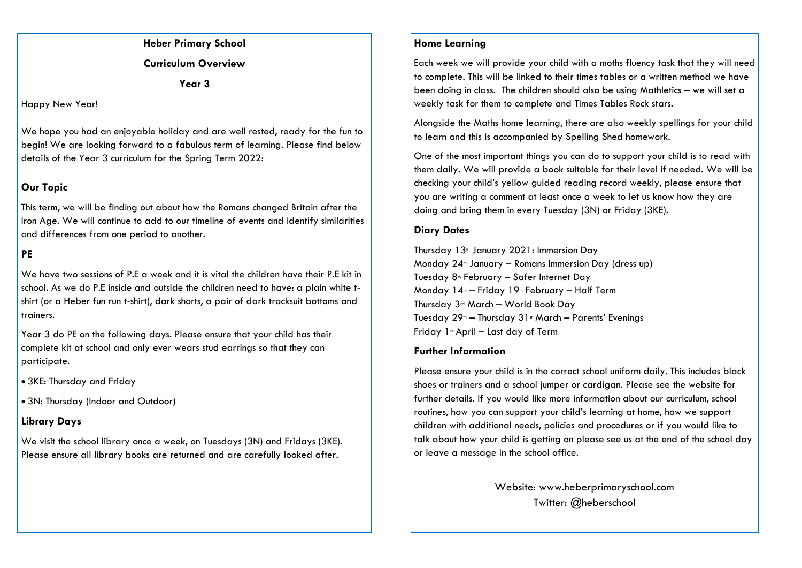**Heber Primary School** 

**Curriculum Overview**

**Year 3**

#### Happy New Year!

We hope you had an enjoyable holiday and are well rested, ready for the fun to begin! We are looking forward to a fabulous term of learning. Please find below details of the Year 3 curriculum for the Spring Term 2022:

# **Our Topic**

This term, we will be finding out about how the Romans changed Britain after the Iron Age. We will continue to add to our timeline of events and identify similarities and differences from one period to another.

# **PE**

We have two sessions of P.E a week and it is vital the children have their P.F kit in school. As we do P.E inside and outside the children need to have: a plain white tshirt (or a Heber fun run t-shirt), dark shorts, a pair of dark tracksuit bottoms and trainers.

Year 3 do PE on the following days. Please ensure that your child has their complete kit at school and only ever wears stud earrings so that they can participate.

3KE: Thursday and Friday

3N: Thursday (Indoor and Outdoor)

# **Library Days**

We visit the school library once a week, on Tuesdays (3N) and Fridays (3KE). Please ensure all library books are returned and are carefully looked after.

# **Home Learning**

Each week we will provide your child with a moths fluency task that they will need to complete. This will be linked to their times tables or a written method we have been doing in class. The children should also be using Mathletics – we will set a weekly task for them to complete and Times Tables Rock stars.

Alongside the Maths home learning, there are also weekly spellings for your child to learn and this is accompanied by Spelling Shed homework.

One of the most important things you can do to support your child is to read with them daily. We will provide a book suitable for their level if needed. We will be checking your child's yellow guided reading record weekly, please ensure that you are writing a comment at least once a week to let us know how they are doing and bring them in every Tuesday (3N) or Friday (3KE).

# **Diary Dates**

Thursday 13<sup>th</sup> January 2021: Immersion Day Monday  $24$ <sup>th</sup> January – Romans Immersion Day (dress up) Tuesday 8<sup>th</sup> February - Safer Internet Day Monday  $14^{\text{th}}$  – Friday  $19^{\text{th}}$  February – Half Term Thursday 3rd March – World Book Day Tuesday  $29<sup>th</sup> - Thursday$   $31<sup>st</sup>$  March – Parents' Evenings Friday  $1$ <sup>s</sup> April – Last day of Term

# **Further Information**

Please ensure your child is in the correct school uniform daily. This includes black shoes or trainers and a school jumper or cardigan. Please see the website for further details. If you would like more information about our curriculum, school routines, how you can support your child's learning at home, how we support children with additional needs, policies and procedures or if you would like to talk about how your child is getting on please see us at the end of the school day or leave a message in the school office.

> Website: www.heberprimaryschool.com Twitter: @heberschool